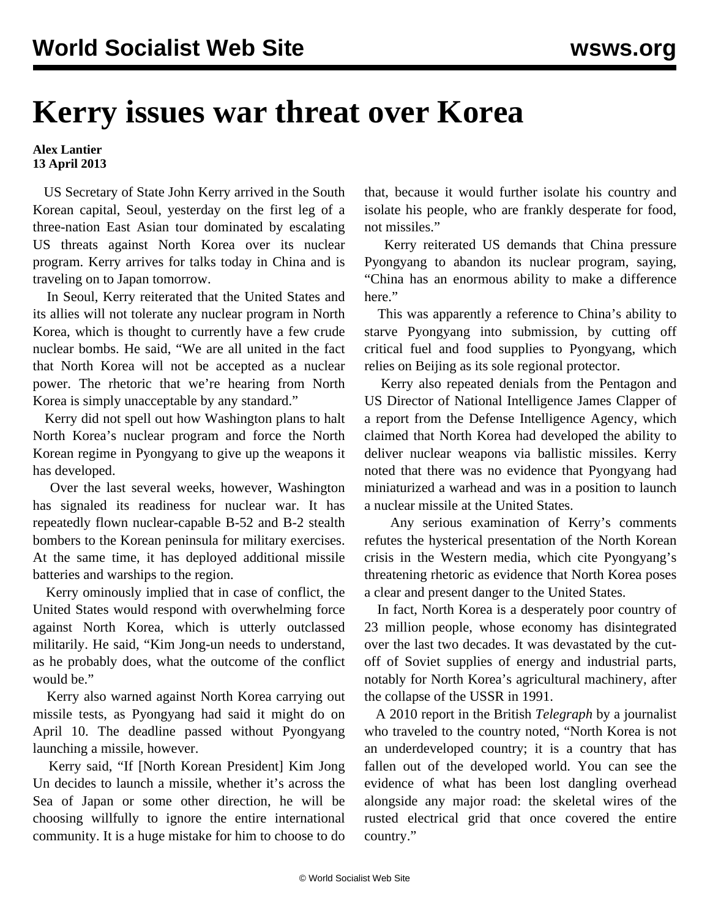## **Kerry issues war threat over Korea**

**Alex Lantier 13 April 2013**

 US Secretary of State John Kerry arrived in the South Korean capital, Seoul, yesterday on the first leg of a three-nation East Asian tour dominated by escalating US threats against North Korea over its nuclear program. Kerry arrives for talks today in China and is traveling on to Japan tomorrow.

 In Seoul, Kerry reiterated that the United States and its allies will not tolerate any nuclear program in North Korea, which is thought to currently have a few crude nuclear bombs. He said, "We are all united in the fact that North Korea will not be accepted as a nuclear power. The rhetoric that we're hearing from North Korea is simply unacceptable by any standard."

 Kerry did not spell out how Washington plans to halt North Korea's nuclear program and force the North Korean regime in Pyongyang to give up the weapons it has developed.

 Over the last several weeks, however, Washington has signaled its readiness for nuclear war. It has repeatedly flown nuclear-capable B-52 and B-2 stealth bombers to the Korean peninsula for military exercises. At the same time, it has deployed additional missile batteries and warships to the region.

 Kerry ominously implied that in case of conflict, the United States would respond with overwhelming force against North Korea, which is utterly outclassed militarily. He said, "Kim Jong-un needs to understand, as he probably does, what the outcome of the conflict would be."

 Kerry also warned against North Korea carrying out missile tests, as Pyongyang had said it might do on April 10. The deadline passed without Pyongyang launching a missile, however.

 Kerry said, "If [North Korean President] Kim Jong Un decides to launch a missile, whether it's across the Sea of Japan or some other direction, he will be choosing willfully to ignore the entire international community. It is a huge mistake for him to choose to do that, because it would further isolate his country and isolate his people, who are frankly desperate for food, not missiles."

 Kerry reiterated US demands that China pressure Pyongyang to abandon its nuclear program, saying, "China has an enormous ability to make a difference here."

 This was apparently a reference to China's ability to starve Pyongyang into submission, by cutting off critical fuel and food supplies to Pyongyang, which relies on Beijing as its sole regional protector.

 Kerry also repeated denials from the Pentagon and US Director of National Intelligence James Clapper of a report from the Defense Intelligence Agency, which claimed that North Korea had developed the ability to deliver nuclear weapons via ballistic missiles. Kerry noted that there was no evidence that Pyongyang had miniaturized a warhead and was in a position to launch a nuclear missile at the United States.

 Any serious examination of Kerry's comments refutes the hysterical presentation of the North Korean crisis in the Western media, which cite Pyongyang's threatening rhetoric as evidence that North Korea poses a clear and present danger to the United States.

 In fact, North Korea is a desperately poor country of 23 million people, whose economy has disintegrated over the last two decades. It was devastated by the cutoff of Soviet supplies of energy and industrial parts, notably for North Korea's agricultural machinery, after the collapse of the USSR in 1991.

 A 2010 report in the British *Telegraph* by a journalist who traveled to the country noted, "North Korea is not an underdeveloped country; it is a country that has fallen out of the developed world. You can see the evidence of what has been lost dangling overhead alongside any major road: the skeletal wires of the rusted electrical grid that once covered the entire country."